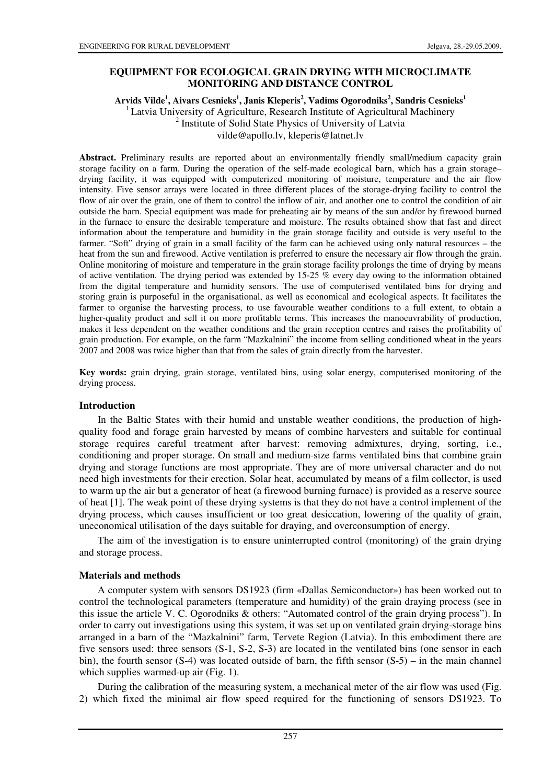# **EQUIPMENT FOR ECOLOGICAL GRAIN DRYING WITH MICROCLIMATE MONITORING AND DISTANCE CONTROL**

## **Arvids Vilde<sup>1</sup> , Aivars Cesnieks<sup>1</sup> , Janis Kleperis<sup>2</sup> , Vadims Ogorodniks<sup>2</sup> , Sandris Cesnieks<sup>1</sup>** <sup>1</sup> Latvia University of Agriculture, Research Institute of Agricultural Machinery <sup>2</sup> Institute of Solid State Physics of University of Latvia vilde@apollo.lv, kleperis@latnet.lv

**Abstract.** Preliminary results are reported about an environmentally friendly small/medium capacity grain storage facility on a farm. During the operation of the self-made ecological barn, which has a grain storage– drying facility, it was equipped with computerized monitoring of moisture, temperature and the air flow intensity. Five sensor arrays were located in three different places of the storage-drying facility to control the flow of air over the grain, one of them to control the inflow of air, and another one to control the condition of air outside the barn. Special equipment was made for preheating air by means of the sun and/or by firewood burned in the furnace to ensure the desirable temperature and moisture. The results obtained show that fast and direct information about the temperature and humidity in the grain storage facility and outside is very useful to the farmer. "Soft" drying of grain in a small facility of the farm can be achieved using only natural resources – the heat from the sun and firewood. Active ventilation is preferred to ensure the necessary air flow through the grain. Online monitoring of moisture and temperature in the grain storage facility prolongs the time of drying by means of active ventilation. The drying period was extended by 15-25 % every day owing to the information obtained from the digital temperature and humidity sensors. The use of computerised ventilated bins for drying and storing grain is purposeful in the organisational, as well as economical and ecological aspects. It facilitates the farmer to organise the harvesting process, to use favourable weather conditions to a full extent, to obtain a higher-quality product and sell it on more profitable terms. This increases the manoeuvrability of production, makes it less dependent on the weather conditions and the grain reception centres and raises the profitability of grain production. For example, on the farm "Mazkalnini" the income from selling conditioned wheat in the years 2007 and 2008 was twice higher than that from the sales of grain directly from the harvester.

**Key words:** grain drying, grain storage, ventilated bins, using solar energy, computerised monitoring of the drying process.

## **Introduction**

In the Baltic States with their humid and unstable weather conditions, the production of highquality food and forage grain harvested by means of combine harvesters and suitable for continual storage requires careful treatment after harvest: removing admixtures, drying, sorting, i.e., conditioning and proper storage. On small and medium-size farms ventilated bins that combine grain drying and storage functions are most appropriate. They are of more universal character and do not need high investments for their erection. Solar heat, accumulated by means of a film collector, is used to warm up the air but a generator of heat (a firewood burning furnace) is provided as a reserve source of heat [1]. The weak point of these drying systems is that they do not have a control implement of the drying process, which causes insufficient or too great desiccation, lowering of the quality of grain, uneconomical utilisation of the days suitable for draying, and overconsumption of energy.

The aim of the investigation is to ensure uninterrupted control (monitoring) of the grain drying and storage process.

## **Materials and methods**

A computer system with sensors DS1923 (firm «Dallas Semiconductor») has been worked out to control the technological parameters (temperature and humidity) of the grain draying process (see in this issue the article V. C. Ogorodniks & others: "Automated control of the grain drying process"). In order to carry out investigations using this system, it was set up on ventilated grain drying-storage bins arranged in a barn of the "Mazkalnini" farm, Tervete Region (Latvia). In this embodiment there are five sensors used: three sensors (S-1, S-2, S-3) are located in the ventilated bins (one sensor in each bin), the fourth sensor  $(S-4)$  was located outside of barn, the fifth sensor  $(S-5)$  – in the main channel which supplies warmed-up air (Fig. 1).

During the calibration of the measuring system, a mechanical meter of the air flow was used (Fig. 2) which fixed the minimal air flow speed required for the functioning of sensors DS1923. To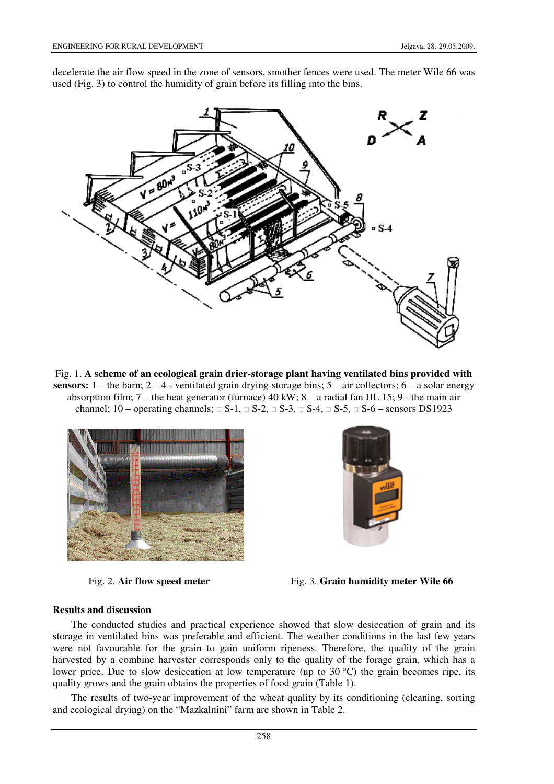decelerate the air flow speed in the zone of sensors, smother fences were used. The meter Wile 66 was used (Fig. 3) to control the humidity of grain before its filling into the bins.



Fig. 1. **A scheme of an ecological grain drier-storage plant having ventilated bins provided with sensors:** 1 – the barn;  $2 - 4$  - ventilated grain drying-storage bins;  $5 -$  air collectors;  $6 - a$  solar energy absorption film; 7 – the heat generator (furnace) 40 kW; 8 – a radial fan HL 15; 9 - the main air channel;  $10$  – operating channels;  $\Box$  S-1,  $\Box$  S-2,  $\Box$  S-3,  $\Box$  S-4,  $\Box$  S-5,  $\Box$  S-6 – sensors DS1923





Fig. 2. **Air flow speed meter** Fig. 3. **Grain humidity meter Wile 66**

### **Results and discussion**

The conducted studies and practical experience showed that slow desiccation of grain and its storage in ventilated bins was preferable and efficient. The weather conditions in the last few years were not favourable for the grain to gain uniform ripeness. Therefore, the quality of the grain harvested by a combine harvester corresponds only to the quality of the forage grain, which has a lower price. Due to slow desiccation at low temperature (up to 30 °C) the grain becomes ripe, its quality grows and the grain obtains the properties of food grain (Table 1).

The results of two-year improvement of the wheat quality by its conditioning (cleaning, sorting and ecological drying) on the "Mazkalnini" farm are shown in Table 2.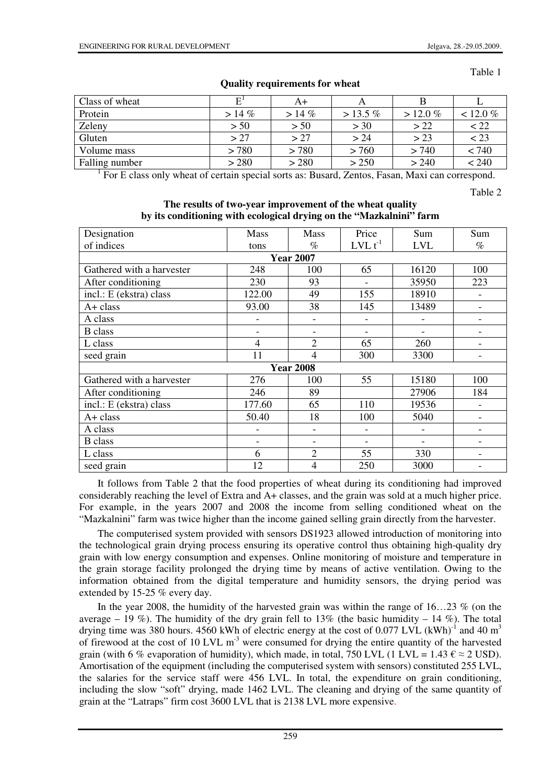#### Table 1

| Class of wheat | Е         | A+       |            |             |             |
|----------------|-----------|----------|------------|-------------|-------------|
| Protein        | $> 14 \%$ | $> 14\%$ | $> 13.5\%$ | $> 12.0 \%$ | $< 12.0 \%$ |
| Zeleny         | > 50      | > 50     | > 30       | > 22        | < 22        |
| Gluten         | > 27      | > 27     | > 24       | > 23        | $\leq$ 23   |
| Volume mass    | > 780     | > 780    | > 760      | > 740       | < 740       |
| Falling number | > 280     | > 280    | > 250      | > 240       | < 240       |

# **Quality requirements for wheat**

<sup>1</sup> For E class only wheat of certain special sorts as: Busard, Zentos, Fasan, Maxi can correspond.

Table 2

### **The results of two-year improvement of the wheat quality by its conditioning with ecological drying on the "Mazkalnini" farm**

| Designation               | <b>Mass</b> | <b>Mass</b>    | Price        | Sum                      | Sum  |  |  |  |  |
|---------------------------|-------------|----------------|--------------|--------------------------|------|--|--|--|--|
| of indices                | tons        | $\%$           | $LVL t^{-1}$ | <b>LVL</b>               | $\%$ |  |  |  |  |
| <b>Year 2007</b>          |             |                |              |                          |      |  |  |  |  |
| Gathered with a harvester | 248         | 100            | 65           | 16120                    | 100  |  |  |  |  |
| After conditioning        | 230         | 93             |              | 35950                    | 223  |  |  |  |  |
| incl.: E (ekstra) class   | 122.00      | 49             | 155          | 18910                    |      |  |  |  |  |
| $A + class$               | 93.00       | 38             | 145          | 13489                    |      |  |  |  |  |
| A class                   |             |                |              |                          |      |  |  |  |  |
| <b>B</b> class            |             |                |              | $\overline{\phantom{0}}$ |      |  |  |  |  |
| L class                   | 4           | $\overline{2}$ | 65           | 260                      |      |  |  |  |  |
| seed grain                | 11          | $\overline{4}$ | 300          | 3300                     |      |  |  |  |  |
| <b>Year 2008</b>          |             |                |              |                          |      |  |  |  |  |
| Gathered with a harvester | 276         | 100            | 55           | 15180                    | 100  |  |  |  |  |
| After conditioning        | 246         | 89             |              | 27906                    | 184  |  |  |  |  |
| incl.: E (ekstra) class   | 177.60      | 65             | 110          | 19536                    |      |  |  |  |  |
| $A + class$               | 50.40       | 18             | 100          | 5040                     |      |  |  |  |  |
| A class                   |             |                |              | $\overline{\phantom{0}}$ |      |  |  |  |  |
| <b>B</b> class            |             |                |              |                          |      |  |  |  |  |
| L class                   | 6           | $\overline{2}$ | 55           | 330                      |      |  |  |  |  |
| seed grain                | 12          | 4              | 250          | 3000                     |      |  |  |  |  |

It follows from Table 2 that the food properties of wheat during its conditioning had improved considerably reaching the level of Extra and A+ classes, and the grain was sold at a much higher price. For example, in the years 2007 and 2008 the income from selling conditioned wheat on the "Mazkalnini" farm was twice higher than the income gained selling grain directly from the harvester.

The computerised system provided with sensors DS1923 allowed introduction of monitoring into the technological grain drying process ensuring its operative control thus obtaining high-quality dry grain with low energy consumption and expenses. Online monitoring of moisture and temperature in the grain storage facility prolonged the drying time by means of active ventilation. Owing to the information obtained from the digital temperature and humidity sensors, the drying period was extended by 15-25 % every day.

In the year 2008, the humidity of the harvested grain was within the range of  $16...23$  % (on the average – 19 %). The humidity of the dry grain fell to 13% (the basic humidity – 14 %). The total drying time was 380 hours. 4560 kWh of electric energy at the cost of 0.077 LVL (kWh)<sup>-1</sup> and 40 m<sup>3</sup> of firewood at the cost of 10 LVL m<sup>-3</sup> were consumed for drying the entire quantity of the harvested grain (with 6 % evaporation of humidity), which made, in total, 750 LVL (1 LVL = 1.43  $\epsilon \approx 2$  USD). Amortisation of the equipment (including the computerised system with sensors) constituted 255 LVL, the salaries for the service staff were 456 LVL. In total, the expenditure on grain conditioning, including the slow "soft" drying, made 1462 LVL. The cleaning and drying of the same quantity of grain at the "Latraps" firm cost 3600 LVL that is 2138 LVL more expensive.